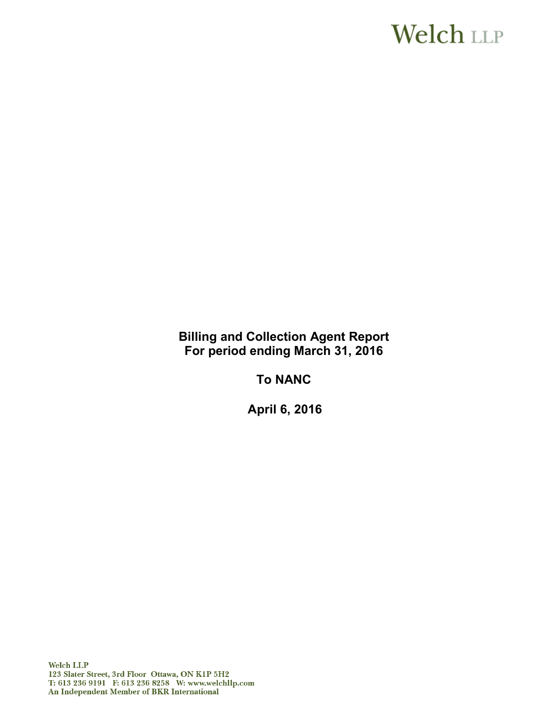# **Welch LLP**

**Billing and Collection Agent Report For period ending March 31, 2016**

**To NANC**

**April 6, 2016**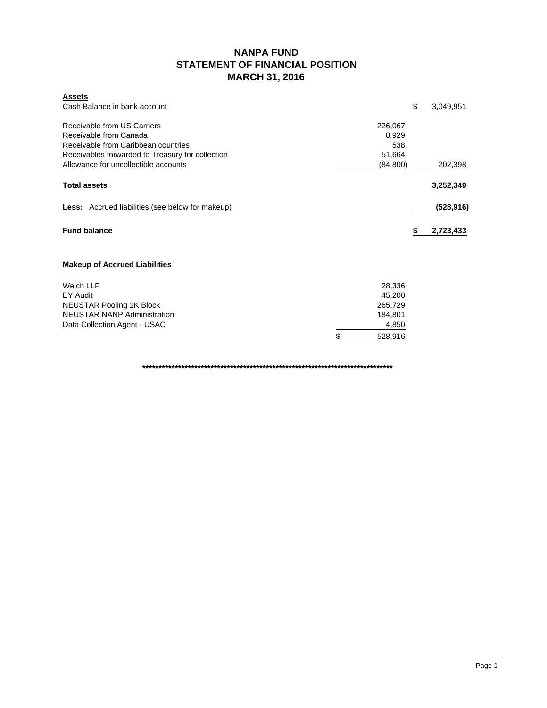### **NANPA FUND STATEMENT OF FINANCIAL POSITION MARCH 31, 2016**

| <b>Assets</b>                                                                                |                                   |                 |
|----------------------------------------------------------------------------------------------|-----------------------------------|-----------------|
| Cash Balance in bank account                                                                 |                                   | \$<br>3,049,951 |
| Receivable from US Carriers<br>Receivable from Canada<br>Receivable from Caribbean countries | 226,067<br>8,929<br>538<br>51,664 |                 |
| Receivables forwarded to Treasury for collection<br>Allowance for uncollectible accounts     | (84, 800)                         | 202,398         |
| <b>Total assets</b>                                                                          |                                   | 3,252,349       |
| <b>Less:</b> Accrued liabilities (see below for makeup)                                      |                                   | (528, 916)      |
| <b>Fund balance</b>                                                                          |                                   | 2,723,433       |
| <b>Makeup of Accrued Liabilities</b>                                                         |                                   |                 |
| <b>Welch LLP</b>                                                                             | 28,336                            |                 |
| EY Audit                                                                                     | 45,200                            |                 |
| <b>NEUSTAR Pooling 1K Block</b>                                                              | 265,729                           |                 |
| <b>NEUSTAR NANP Administration</b>                                                           | 184,801                           |                 |
| Data Collection Agent - USAC                                                                 | 4,850                             |                 |
|                                                                                              | \$<br>528,916                     |                 |

**\*\*\*\*\*\*\*\*\*\*\*\*\*\*\*\*\*\*\*\*\*\*\*\*\*\*\*\*\*\*\*\*\*\*\*\*\*\*\*\*\*\*\*\*\*\*\*\*\*\*\*\*\*\*\*\*\*\*\*\*\*\*\*\*\*\*\*\*\*\*\*\*\*\*\*\*\***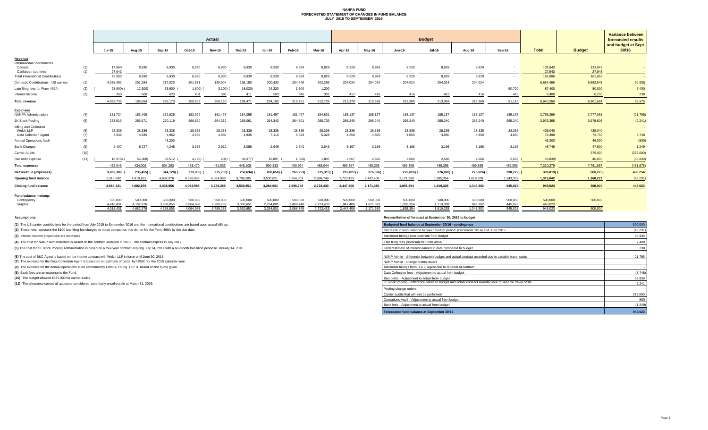#### **NANPA FUND FORECASTED STATEMENT OF CHANGES IN FUND BALANCE JULY 2015 TO SEPTEMBER 2016**

| <b>Variance between</b><br>Actual<br><b>Budget</b><br>forecasted results<br>and budget at Sept<br><b>Total</b><br>30/16<br><b>Budget</b><br><b>Jul-16</b><br><b>Jul-15</b><br>Aug-15<br>Sep-15<br>Oct-15<br><b>Dec-15</b><br>Feb-16<br>Mav-16<br><b>Jun-16</b><br>Aug-16<br>Sep-16<br><b>Nov-15</b><br><b>Jan-16</b><br>Mar-16<br>Apr-16<br><b>International Contributions</b><br>8,930<br>8,930<br>8,930<br>8,930<br>8,929<br>8,929<br>8,929<br>17,860<br>8,930<br>8,930<br>8,929<br>8,929<br>8,929<br>8,929<br>133,943<br>133,943<br>Canada<br>(1)<br>(1)<br>27,943<br>27,943<br>27,943<br>Caribbean countries<br>$\sim$<br>$\sim$<br>$\sim 100$<br>$\sim$ 100 $\mu$<br>$\sim$ 100 $\mu$<br>$\sim$<br>$\sim$ $-$<br>$\sim$<br>$\sim$<br>$\sim$<br>$\sim$<br>$\sim$<br>$\sim$<br>45,803<br>8,930<br>8,930<br>8,930<br>8,929<br>8,929<br>8,929<br>8,929<br>8,929<br>161,886<br>161,886<br>8,930<br>8,930<br>8,930<br>8,929<br>8,929<br>$\sim$<br>$\sim$ $-$<br>30,938<br>204,024<br>204,024<br>204,024<br>(1)<br>4,038,482<br>217,020<br>202,299<br>204,024<br>204,024<br>6,684,486<br>6,653,548<br>201,264<br>201,871<br>199,904<br>198,150<br>200,430<br>204,946<br>(2)<br>33,600<br>24,320<br>1,500<br>1,200<br>90,700<br>7,400<br>28,900)<br>12,300)<br>1,600)<br>$3,100$ )<br>18,020)<br>87,400<br>80,000<br>(3)<br>350<br>623<br>396<br>503<br>346<br>301<br>416<br>6,488<br>6.250<br>238<br>660<br>401<br>411<br>417<br>416<br>416<br>416<br>416<br>38,576<br>4.055.735<br>213,369<br>213.369<br>213,369<br>198,554<br>260.173<br>209,602<br>206,130<br>189.471<br>234.183<br>215,721<br>212,729<br>213,370<br>213,369<br>91.116<br>6.940.260<br>6.901.684<br><b>NANPA Administration</b><br>(21, 795)<br>183,408<br>182,926<br>181,497<br>181,497<br>184,801<br>185,137<br>185,137<br>185,137<br>185,137<br>185,137<br>2,755,266<br>2,777,061<br>(4)<br>181,724<br>182,999<br>184,095<br>181,497<br>185,137<br>266,971<br>264,362<br>3,976,365<br>(2, 241)<br>1K Block Pooling<br>(5)<br>253,919<br>270,119<br>268,620<br>266,061<br>264,343<br>264,801<br>265,729<br>265,240<br>265,240<br>265,240<br>265,240<br>265,240<br>265,240<br>3,978,606<br><b>Billing and Collection</b><br>28,336<br>28,336<br>28,336<br>28,336<br>28,336<br>28,336<br>28,336<br>28,336<br>28,336<br>425,040<br>425,040<br>Welch LLP<br>(6)<br>28,336<br>28,336<br>28,336<br>28,336<br>28,336<br>28,336<br>5,328<br>4,935<br>4,935<br>4,952<br>4,935<br>4,935<br>4,935<br>7,115<br>5,328<br>4,850<br>4.850<br>4,850<br>4,850<br>4,850<br>3,748<br>(7)<br>4.850<br>76,498<br>72,750<br>(800)<br>45,200<br>45,200<br>46,000<br>(8)<br>$\sim$<br>$\sim$ $-$<br>$\sim$<br>$\sim$ $-$<br>$\sim$<br>$\sim$<br>$\sim$<br>$\sim$<br>$\overline{\phantom{a}}$<br>$\sim$<br>$\sim$<br>$\sim$<br>2.407<br>3.055<br>2.645<br>2.340<br>2.043<br>1,249<br>6.727<br>4,248<br>3.375<br>2,912<br>3.167<br>3.166<br>3.166<br>3.166<br>3.166<br>3.166<br>48,749<br>47,500<br>(9)<br>(10)<br>(375,000)<br>375,000<br>$\sim$<br>$\overline{\phantom{a}}$<br>$\sim$<br>$\sim$<br>$\sim$<br>$\sim$<br>$\sim$<br>(56, 839)<br>(11)<br>16,897<br>2,667<br>2,666<br>2,666<br>2,666<br>2,666<br>16,839)<br>40,000<br>18.975)<br>56,368)<br>68,512<br>4,795)<br>209)<br>38,377)<br>1,328<br>1,807<br>2,666<br>489,395<br>489,395<br>452.346<br>604,293<br>480,974<br>488,044<br>489,397<br>489,395<br>489,395<br>489,395<br>7,310,279<br>7,761,957<br>(451, 678)<br>434,009<br>483,470<br>481,833<br>448,105<br>500,833<br>490,254<br>344,120)<br>275,703)<br>265,253)<br>275,315)<br>276,027)<br>276,026)<br>276,026)<br>860,273)<br>3,603,389<br>235,455)<br>273,868)<br>258,634)<br>266,650)<br>276,026)<br>276,026) (<br>398,279)<br>370,019)<br>(45, 231)<br>1,315,042<br>2,171,380<br>1,895,354<br>1,619,328<br>1.343.302<br>1,315,042<br>1,360,273<br>4,918,431<br>4.682.976<br>3,789,285<br>3,530,651<br>3.264.001<br>2,998,748<br>2,723,433<br>2,447,406<br>4.338.856<br>4.064.988<br>1,895,354<br>2,171,380<br>1,619,328<br>1,343,302<br>945.023<br>945,023<br>500,000<br>445,023<br>4.918.431<br>4,682,976<br>4,338,856<br>4,064,988<br>3,789,285<br>3.530.651<br>3,264,001<br>2,998,748<br>2,723,433<br>2,447,406<br>500,000<br>500,000<br>500,000<br>500,000<br>500,000<br>500,000<br>500,000<br>500,000<br>500,000<br>500,000<br>500,000<br>500,000<br>500,000<br>500,000<br>500,000<br>500,000<br>500,000<br>4.182.976<br>3.838.856<br>3.564.988<br>3.289.285<br>3.030.651<br>2,764,001<br>2.498.748<br>2,223,433<br>1.947.406<br>1.671.380<br>1.395.354<br>1.119.328<br>843,302<br>445.023<br>4.418.431<br>445.023<br>Surplus<br>500,000<br>4.682.976<br>4.338.856<br>3.789.285<br>3.530.651<br>3.264.001<br>2.998.748<br>2.723.433<br>1.619.328<br>1.343.302<br>945.023<br>945.023<br>4.918.431<br>4.064.988<br>2.447.406<br>2.171.380<br>1.895.354 |                                          |  |  |  |  |  |  |  |  |  |  |  |  |  |  |
|-----------------------------------------------------------------------------------------------------------------------------------------------------------------------------------------------------------------------------------------------------------------------------------------------------------------------------------------------------------------------------------------------------------------------------------------------------------------------------------------------------------------------------------------------------------------------------------------------------------------------------------------------------------------------------------------------------------------------------------------------------------------------------------------------------------------------------------------------------------------------------------------------------------------------------------------------------------------------------------------------------------------------------------------------------------------------------------------------------------------------------------------------------------------------------------------------------------------------------------------------------------------------------------------------------------------------------------------------------------------------------------------------------------------------------------------------------------------------------------------------------------------------------------------------------------------------------------------------------------------------------------------------------------------------------------------------------------------------------------------------------------------------------------------------------------------------------------------------------------------------------------------------------------------------------------------------------------------------------------------------------------------------------------------------------------------------------------------------------------------------------------------------------------------------------------------------------------------------------------------------------------------------------------------------------------------------------------------------------------------------------------------------------------------------------------------------------------------------------------------------------------------------------------------------------------------------------------------------------------------------------------------------------------------------------------------------------------------------------------------------------------------------------------------------------------------------------------------------------------------------------------------------------------------------------------------------------------------------------------------------------------------------------------------------------------------------------------------------------------------------------------------------------------------------------------------------------------------------------------------------------------------------------------------------------------------------------------------------------------------------------------------------------------------------------------------------------------------------------------------------------------------------------------------------------------------------------------------------------------------------------------------------------------------------------------------------------------------------------------------------------------------------------------------------------------------------------------------------------------------------------------------------------------------------------------------------------------------------------------------------------------------------------------------------------------------------------------------------------------------------------------------------------------------------------------------------------------------------------------------------------------------------------------------------------------------------------------------------------------------------------------------------------------------------------------------------------------------------------------------------------------------------------------------------------------------------------------------------------------------------------------------------------------------------------------------------------------------------------------------------------------------------------------------------------------------------------|------------------------------------------|--|--|--|--|--|--|--|--|--|--|--|--|--|--|
|                                                                                                                                                                                                                                                                                                                                                                                                                                                                                                                                                                                                                                                                                                                                                                                                                                                                                                                                                                                                                                                                                                                                                                                                                                                                                                                                                                                                                                                                                                                                                                                                                                                                                                                                                                                                                                                                                                                                                                                                                                                                                                                                                                                                                                                                                                                                                                                                                                                                                                                                                                                                                                                                                                                                                                                                                                                                                                                                                                                                                                                                                                                                                                                                                                                                                                                                                                                                                                                                                                                                                                                                                                                                                                                                                                                                                                                                                                                                                                                                                                                                                                                                                                                                                                                                                                                                                                                                                                                                                                                                                                                                                                                                                                                                                                                                                             |                                          |  |  |  |  |  |  |  |  |  |  |  |  |  |  |
|                                                                                                                                                                                                                                                                                                                                                                                                                                                                                                                                                                                                                                                                                                                                                                                                                                                                                                                                                                                                                                                                                                                                                                                                                                                                                                                                                                                                                                                                                                                                                                                                                                                                                                                                                                                                                                                                                                                                                                                                                                                                                                                                                                                                                                                                                                                                                                                                                                                                                                                                                                                                                                                                                                                                                                                                                                                                                                                                                                                                                                                                                                                                                                                                                                                                                                                                                                                                                                                                                                                                                                                                                                                                                                                                                                                                                                                                                                                                                                                                                                                                                                                                                                                                                                                                                                                                                                                                                                                                                                                                                                                                                                                                                                                                                                                                                             |                                          |  |  |  |  |  |  |  |  |  |  |  |  |  |  |
|                                                                                                                                                                                                                                                                                                                                                                                                                                                                                                                                                                                                                                                                                                                                                                                                                                                                                                                                                                                                                                                                                                                                                                                                                                                                                                                                                                                                                                                                                                                                                                                                                                                                                                                                                                                                                                                                                                                                                                                                                                                                                                                                                                                                                                                                                                                                                                                                                                                                                                                                                                                                                                                                                                                                                                                                                                                                                                                                                                                                                                                                                                                                                                                                                                                                                                                                                                                                                                                                                                                                                                                                                                                                                                                                                                                                                                                                                                                                                                                                                                                                                                                                                                                                                                                                                                                                                                                                                                                                                                                                                                                                                                                                                                                                                                                                                             | Revenue                                  |  |  |  |  |  |  |  |  |  |  |  |  |  |  |
|                                                                                                                                                                                                                                                                                                                                                                                                                                                                                                                                                                                                                                                                                                                                                                                                                                                                                                                                                                                                                                                                                                                                                                                                                                                                                                                                                                                                                                                                                                                                                                                                                                                                                                                                                                                                                                                                                                                                                                                                                                                                                                                                                                                                                                                                                                                                                                                                                                                                                                                                                                                                                                                                                                                                                                                                                                                                                                                                                                                                                                                                                                                                                                                                                                                                                                                                                                                                                                                                                                                                                                                                                                                                                                                                                                                                                                                                                                                                                                                                                                                                                                                                                                                                                                                                                                                                                                                                                                                                                                                                                                                                                                                                                                                                                                                                                             |                                          |  |  |  |  |  |  |  |  |  |  |  |  |  |  |
|                                                                                                                                                                                                                                                                                                                                                                                                                                                                                                                                                                                                                                                                                                                                                                                                                                                                                                                                                                                                                                                                                                                                                                                                                                                                                                                                                                                                                                                                                                                                                                                                                                                                                                                                                                                                                                                                                                                                                                                                                                                                                                                                                                                                                                                                                                                                                                                                                                                                                                                                                                                                                                                                                                                                                                                                                                                                                                                                                                                                                                                                                                                                                                                                                                                                                                                                                                                                                                                                                                                                                                                                                                                                                                                                                                                                                                                                                                                                                                                                                                                                                                                                                                                                                                                                                                                                                                                                                                                                                                                                                                                                                                                                                                                                                                                                                             |                                          |  |  |  |  |  |  |  |  |  |  |  |  |  |  |
|                                                                                                                                                                                                                                                                                                                                                                                                                                                                                                                                                                                                                                                                                                                                                                                                                                                                                                                                                                                                                                                                                                                                                                                                                                                                                                                                                                                                                                                                                                                                                                                                                                                                                                                                                                                                                                                                                                                                                                                                                                                                                                                                                                                                                                                                                                                                                                                                                                                                                                                                                                                                                                                                                                                                                                                                                                                                                                                                                                                                                                                                                                                                                                                                                                                                                                                                                                                                                                                                                                                                                                                                                                                                                                                                                                                                                                                                                                                                                                                                                                                                                                                                                                                                                                                                                                                                                                                                                                                                                                                                                                                                                                                                                                                                                                                                                             | <b>Total International Contributions</b> |  |  |  |  |  |  |  |  |  |  |  |  |  |  |
|                                                                                                                                                                                                                                                                                                                                                                                                                                                                                                                                                                                                                                                                                                                                                                                                                                                                                                                                                                                                                                                                                                                                                                                                                                                                                                                                                                                                                                                                                                                                                                                                                                                                                                                                                                                                                                                                                                                                                                                                                                                                                                                                                                                                                                                                                                                                                                                                                                                                                                                                                                                                                                                                                                                                                                                                                                                                                                                                                                                                                                                                                                                                                                                                                                                                                                                                                                                                                                                                                                                                                                                                                                                                                                                                                                                                                                                                                                                                                                                                                                                                                                                                                                                                                                                                                                                                                                                                                                                                                                                                                                                                                                                                                                                                                                                                                             | Domestic Contributions - US carriers     |  |  |  |  |  |  |  |  |  |  |  |  |  |  |
|                                                                                                                                                                                                                                                                                                                                                                                                                                                                                                                                                                                                                                                                                                                                                                                                                                                                                                                                                                                                                                                                                                                                                                                                                                                                                                                                                                                                                                                                                                                                                                                                                                                                                                                                                                                                                                                                                                                                                                                                                                                                                                                                                                                                                                                                                                                                                                                                                                                                                                                                                                                                                                                                                                                                                                                                                                                                                                                                                                                                                                                                                                                                                                                                                                                                                                                                                                                                                                                                                                                                                                                                                                                                                                                                                                                                                                                                                                                                                                                                                                                                                                                                                                                                                                                                                                                                                                                                                                                                                                                                                                                                                                                                                                                                                                                                                             | Late filing fees for Form 499A           |  |  |  |  |  |  |  |  |  |  |  |  |  |  |
|                                                                                                                                                                                                                                                                                                                                                                                                                                                                                                                                                                                                                                                                                                                                                                                                                                                                                                                                                                                                                                                                                                                                                                                                                                                                                                                                                                                                                                                                                                                                                                                                                                                                                                                                                                                                                                                                                                                                                                                                                                                                                                                                                                                                                                                                                                                                                                                                                                                                                                                                                                                                                                                                                                                                                                                                                                                                                                                                                                                                                                                                                                                                                                                                                                                                                                                                                                                                                                                                                                                                                                                                                                                                                                                                                                                                                                                                                                                                                                                                                                                                                                                                                                                                                                                                                                                                                                                                                                                                                                                                                                                                                                                                                                                                                                                                                             | Interest income                          |  |  |  |  |  |  |  |  |  |  |  |  |  |  |
|                                                                                                                                                                                                                                                                                                                                                                                                                                                                                                                                                                                                                                                                                                                                                                                                                                                                                                                                                                                                                                                                                                                                                                                                                                                                                                                                                                                                                                                                                                                                                                                                                                                                                                                                                                                                                                                                                                                                                                                                                                                                                                                                                                                                                                                                                                                                                                                                                                                                                                                                                                                                                                                                                                                                                                                                                                                                                                                                                                                                                                                                                                                                                                                                                                                                                                                                                                                                                                                                                                                                                                                                                                                                                                                                                                                                                                                                                                                                                                                                                                                                                                                                                                                                                                                                                                                                                                                                                                                                                                                                                                                                                                                                                                                                                                                                                             | <b>Total revenue</b>                     |  |  |  |  |  |  |  |  |  |  |  |  |  |  |
|                                                                                                                                                                                                                                                                                                                                                                                                                                                                                                                                                                                                                                                                                                                                                                                                                                                                                                                                                                                                                                                                                                                                                                                                                                                                                                                                                                                                                                                                                                                                                                                                                                                                                                                                                                                                                                                                                                                                                                                                                                                                                                                                                                                                                                                                                                                                                                                                                                                                                                                                                                                                                                                                                                                                                                                                                                                                                                                                                                                                                                                                                                                                                                                                                                                                                                                                                                                                                                                                                                                                                                                                                                                                                                                                                                                                                                                                                                                                                                                                                                                                                                                                                                                                                                                                                                                                                                                                                                                                                                                                                                                                                                                                                                                                                                                                                             | <b>Expenses</b>                          |  |  |  |  |  |  |  |  |  |  |  |  |  |  |
|                                                                                                                                                                                                                                                                                                                                                                                                                                                                                                                                                                                                                                                                                                                                                                                                                                                                                                                                                                                                                                                                                                                                                                                                                                                                                                                                                                                                                                                                                                                                                                                                                                                                                                                                                                                                                                                                                                                                                                                                                                                                                                                                                                                                                                                                                                                                                                                                                                                                                                                                                                                                                                                                                                                                                                                                                                                                                                                                                                                                                                                                                                                                                                                                                                                                                                                                                                                                                                                                                                                                                                                                                                                                                                                                                                                                                                                                                                                                                                                                                                                                                                                                                                                                                                                                                                                                                                                                                                                                                                                                                                                                                                                                                                                                                                                                                             |                                          |  |  |  |  |  |  |  |  |  |  |  |  |  |  |
|                                                                                                                                                                                                                                                                                                                                                                                                                                                                                                                                                                                                                                                                                                                                                                                                                                                                                                                                                                                                                                                                                                                                                                                                                                                                                                                                                                                                                                                                                                                                                                                                                                                                                                                                                                                                                                                                                                                                                                                                                                                                                                                                                                                                                                                                                                                                                                                                                                                                                                                                                                                                                                                                                                                                                                                                                                                                                                                                                                                                                                                                                                                                                                                                                                                                                                                                                                                                                                                                                                                                                                                                                                                                                                                                                                                                                                                                                                                                                                                                                                                                                                                                                                                                                                                                                                                                                                                                                                                                                                                                                                                                                                                                                                                                                                                                                             |                                          |  |  |  |  |  |  |  |  |  |  |  |  |  |  |
|                                                                                                                                                                                                                                                                                                                                                                                                                                                                                                                                                                                                                                                                                                                                                                                                                                                                                                                                                                                                                                                                                                                                                                                                                                                                                                                                                                                                                                                                                                                                                                                                                                                                                                                                                                                                                                                                                                                                                                                                                                                                                                                                                                                                                                                                                                                                                                                                                                                                                                                                                                                                                                                                                                                                                                                                                                                                                                                                                                                                                                                                                                                                                                                                                                                                                                                                                                                                                                                                                                                                                                                                                                                                                                                                                                                                                                                                                                                                                                                                                                                                                                                                                                                                                                                                                                                                                                                                                                                                                                                                                                                                                                                                                                                                                                                                                             |                                          |  |  |  |  |  |  |  |  |  |  |  |  |  |  |
|                                                                                                                                                                                                                                                                                                                                                                                                                                                                                                                                                                                                                                                                                                                                                                                                                                                                                                                                                                                                                                                                                                                                                                                                                                                                                                                                                                                                                                                                                                                                                                                                                                                                                                                                                                                                                                                                                                                                                                                                                                                                                                                                                                                                                                                                                                                                                                                                                                                                                                                                                                                                                                                                                                                                                                                                                                                                                                                                                                                                                                                                                                                                                                                                                                                                                                                                                                                                                                                                                                                                                                                                                                                                                                                                                                                                                                                                                                                                                                                                                                                                                                                                                                                                                                                                                                                                                                                                                                                                                                                                                                                                                                                                                                                                                                                                                             | Data Collection Agent                    |  |  |  |  |  |  |  |  |  |  |  |  |  |  |
|                                                                                                                                                                                                                                                                                                                                                                                                                                                                                                                                                                                                                                                                                                                                                                                                                                                                                                                                                                                                                                                                                                                                                                                                                                                                                                                                                                                                                                                                                                                                                                                                                                                                                                                                                                                                                                                                                                                                                                                                                                                                                                                                                                                                                                                                                                                                                                                                                                                                                                                                                                                                                                                                                                                                                                                                                                                                                                                                                                                                                                                                                                                                                                                                                                                                                                                                                                                                                                                                                                                                                                                                                                                                                                                                                                                                                                                                                                                                                                                                                                                                                                                                                                                                                                                                                                                                                                                                                                                                                                                                                                                                                                                                                                                                                                                                                             | <b>Annual Operations Audit</b>           |  |  |  |  |  |  |  |  |  |  |  |  |  |  |
|                                                                                                                                                                                                                                                                                                                                                                                                                                                                                                                                                                                                                                                                                                                                                                                                                                                                                                                                                                                                                                                                                                                                                                                                                                                                                                                                                                                                                                                                                                                                                                                                                                                                                                                                                                                                                                                                                                                                                                                                                                                                                                                                                                                                                                                                                                                                                                                                                                                                                                                                                                                                                                                                                                                                                                                                                                                                                                                                                                                                                                                                                                                                                                                                                                                                                                                                                                                                                                                                                                                                                                                                                                                                                                                                                                                                                                                                                                                                                                                                                                                                                                                                                                                                                                                                                                                                                                                                                                                                                                                                                                                                                                                                                                                                                                                                                             | <b>Bank Charges</b>                      |  |  |  |  |  |  |  |  |  |  |  |  |  |  |
|                                                                                                                                                                                                                                                                                                                                                                                                                                                                                                                                                                                                                                                                                                                                                                                                                                                                                                                                                                                                                                                                                                                                                                                                                                                                                                                                                                                                                                                                                                                                                                                                                                                                                                                                                                                                                                                                                                                                                                                                                                                                                                                                                                                                                                                                                                                                                                                                                                                                                                                                                                                                                                                                                                                                                                                                                                                                                                                                                                                                                                                                                                                                                                                                                                                                                                                                                                                                                                                                                                                                                                                                                                                                                                                                                                                                                                                                                                                                                                                                                                                                                                                                                                                                                                                                                                                                                                                                                                                                                                                                                                                                                                                                                                                                                                                                                             | Carrier Audits                           |  |  |  |  |  |  |  |  |  |  |  |  |  |  |
|                                                                                                                                                                                                                                                                                                                                                                                                                                                                                                                                                                                                                                                                                                                                                                                                                                                                                                                                                                                                                                                                                                                                                                                                                                                                                                                                                                                                                                                                                                                                                                                                                                                                                                                                                                                                                                                                                                                                                                                                                                                                                                                                                                                                                                                                                                                                                                                                                                                                                                                                                                                                                                                                                                                                                                                                                                                                                                                                                                                                                                                                                                                                                                                                                                                                                                                                                                                                                                                                                                                                                                                                                                                                                                                                                                                                                                                                                                                                                                                                                                                                                                                                                                                                                                                                                                                                                                                                                                                                                                                                                                                                                                                                                                                                                                                                                             | Bad debt expense                         |  |  |  |  |  |  |  |  |  |  |  |  |  |  |
|                                                                                                                                                                                                                                                                                                                                                                                                                                                                                                                                                                                                                                                                                                                                                                                                                                                                                                                                                                                                                                                                                                                                                                                                                                                                                                                                                                                                                                                                                                                                                                                                                                                                                                                                                                                                                                                                                                                                                                                                                                                                                                                                                                                                                                                                                                                                                                                                                                                                                                                                                                                                                                                                                                                                                                                                                                                                                                                                                                                                                                                                                                                                                                                                                                                                                                                                                                                                                                                                                                                                                                                                                                                                                                                                                                                                                                                                                                                                                                                                                                                                                                                                                                                                                                                                                                                                                                                                                                                                                                                                                                                                                                                                                                                                                                                                                             | <b>Total expenses</b>                    |  |  |  |  |  |  |  |  |  |  |  |  |  |  |
|                                                                                                                                                                                                                                                                                                                                                                                                                                                                                                                                                                                                                                                                                                                                                                                                                                                                                                                                                                                                                                                                                                                                                                                                                                                                                                                                                                                                                                                                                                                                                                                                                                                                                                                                                                                                                                                                                                                                                                                                                                                                                                                                                                                                                                                                                                                                                                                                                                                                                                                                                                                                                                                                                                                                                                                                                                                                                                                                                                                                                                                                                                                                                                                                                                                                                                                                                                                                                                                                                                                                                                                                                                                                                                                                                                                                                                                                                                                                                                                                                                                                                                                                                                                                                                                                                                                                                                                                                                                                                                                                                                                                                                                                                                                                                                                                                             | Net revenue (expenses)                   |  |  |  |  |  |  |  |  |  |  |  |  |  |  |
|                                                                                                                                                                                                                                                                                                                                                                                                                                                                                                                                                                                                                                                                                                                                                                                                                                                                                                                                                                                                                                                                                                                                                                                                                                                                                                                                                                                                                                                                                                                                                                                                                                                                                                                                                                                                                                                                                                                                                                                                                                                                                                                                                                                                                                                                                                                                                                                                                                                                                                                                                                                                                                                                                                                                                                                                                                                                                                                                                                                                                                                                                                                                                                                                                                                                                                                                                                                                                                                                                                                                                                                                                                                                                                                                                                                                                                                                                                                                                                                                                                                                                                                                                                                                                                                                                                                                                                                                                                                                                                                                                                                                                                                                                                                                                                                                                             | <b>Opening fund balance</b>              |  |  |  |  |  |  |  |  |  |  |  |  |  |  |
|                                                                                                                                                                                                                                                                                                                                                                                                                                                                                                                                                                                                                                                                                                                                                                                                                                                                                                                                                                                                                                                                                                                                                                                                                                                                                                                                                                                                                                                                                                                                                                                                                                                                                                                                                                                                                                                                                                                                                                                                                                                                                                                                                                                                                                                                                                                                                                                                                                                                                                                                                                                                                                                                                                                                                                                                                                                                                                                                                                                                                                                                                                                                                                                                                                                                                                                                                                                                                                                                                                                                                                                                                                                                                                                                                                                                                                                                                                                                                                                                                                                                                                                                                                                                                                                                                                                                                                                                                                                                                                                                                                                                                                                                                                                                                                                                                             | <b>Closing fund balance</b>              |  |  |  |  |  |  |  |  |  |  |  |  |  |  |
|                                                                                                                                                                                                                                                                                                                                                                                                                                                                                                                                                                                                                                                                                                                                                                                                                                                                                                                                                                                                                                                                                                                                                                                                                                                                                                                                                                                                                                                                                                                                                                                                                                                                                                                                                                                                                                                                                                                                                                                                                                                                                                                                                                                                                                                                                                                                                                                                                                                                                                                                                                                                                                                                                                                                                                                                                                                                                                                                                                                                                                                                                                                                                                                                                                                                                                                                                                                                                                                                                                                                                                                                                                                                                                                                                                                                                                                                                                                                                                                                                                                                                                                                                                                                                                                                                                                                                                                                                                                                                                                                                                                                                                                                                                                                                                                                                             | Fund balance makeup:                     |  |  |  |  |  |  |  |  |  |  |  |  |  |  |
|                                                                                                                                                                                                                                                                                                                                                                                                                                                                                                                                                                                                                                                                                                                                                                                                                                                                                                                                                                                                                                                                                                                                                                                                                                                                                                                                                                                                                                                                                                                                                                                                                                                                                                                                                                                                                                                                                                                                                                                                                                                                                                                                                                                                                                                                                                                                                                                                                                                                                                                                                                                                                                                                                                                                                                                                                                                                                                                                                                                                                                                                                                                                                                                                                                                                                                                                                                                                                                                                                                                                                                                                                                                                                                                                                                                                                                                                                                                                                                                                                                                                                                                                                                                                                                                                                                                                                                                                                                                                                                                                                                                                                                                                                                                                                                                                                             | Contingency                              |  |  |  |  |  |  |  |  |  |  |  |  |  |  |
|                                                                                                                                                                                                                                                                                                                                                                                                                                                                                                                                                                                                                                                                                                                                                                                                                                                                                                                                                                                                                                                                                                                                                                                                                                                                                                                                                                                                                                                                                                                                                                                                                                                                                                                                                                                                                                                                                                                                                                                                                                                                                                                                                                                                                                                                                                                                                                                                                                                                                                                                                                                                                                                                                                                                                                                                                                                                                                                                                                                                                                                                                                                                                                                                                                                                                                                                                                                                                                                                                                                                                                                                                                                                                                                                                                                                                                                                                                                                                                                                                                                                                                                                                                                                                                                                                                                                                                                                                                                                                                                                                                                                                                                                                                                                                                                                                             |                                          |  |  |  |  |  |  |  |  |  |  |  |  |  |  |

**(1)** The US carrier contributions for the period from July 2015 to September 2016 and the International contributions are based upon actual billings.

(2) These fees represent the \$100 late filing fee charged to those companies that do not file the Form 499A by the due date.

**(3)** Interest income projections are estimates

**(4)** The cost for NANP Administration is based on the contract awarded in 2013. The contract expires in July 2017.

(5) The cost for 1K Block Pooling Administration is based on a four-year contract expiring July 14, 2017 with a six-month transition period to January 14, 2018.

**(6)** The cost of B&C Agent is based on the interim contract with Welch LLP in force until June 30, 2016.

**(7)** The expense for the Data Collection Agent is based on an estimate of costs by USAC for the 2015 calendar year.

**(8)** The expense for the annual operations audit performed by Ernst & Young LLP is based on the quote given.

**(9)** Bank fees are an expense to the Fund.

**(10)** The budget allowed \$375,000 for carrier audits.

**(11)** The allowance covers all accounts considered potentially uncollectible at March 31, 2016.

**Assumptions: Reconciliation of forecast at September 30, 2016 to budget**

| Budgeted fund balance at September 30/16 - contingency                                                | 500,000   |
|-------------------------------------------------------------------------------------------------------|-----------|
| Decrease in fund balance between budget period (December 2014) and June 2015                          | (45, 231) |
| Additional billings over estimate from budget                                                         | 30,938    |
| Late filing fees (reversal) for Form 499A                                                             | 7,400     |
| Underestimate of interest earned to date compared to budget                                           | 238       |
| NANP Admin - difference between budget and actual contract awarded due to variable travel costs       | 21,795    |
| NANP Admin - change orders issued                                                                     |           |
| Additional billings from B & C Agent due to renewal of contract                                       |           |
| Data Collection fees - Adjustment to actual from budget                                               | (3,748)   |
| Bad debts - Adjustment to actual from budget                                                          | 56,839    |
| IK Block Pooling - difference between budget and actual contract awarded due to variable travel costs | 2.241     |
| Pooling change orders                                                                                 |           |
| Carrier audits that will not be performed                                                             | 375,000   |
| Operations Audit - Adjustment to actual from budget                                                   | 800       |
| Bank fees - Adjustment to actual from budget                                                          | (1, 249)  |
| Forecasted fund balance at September 30/16                                                            | 945,023   |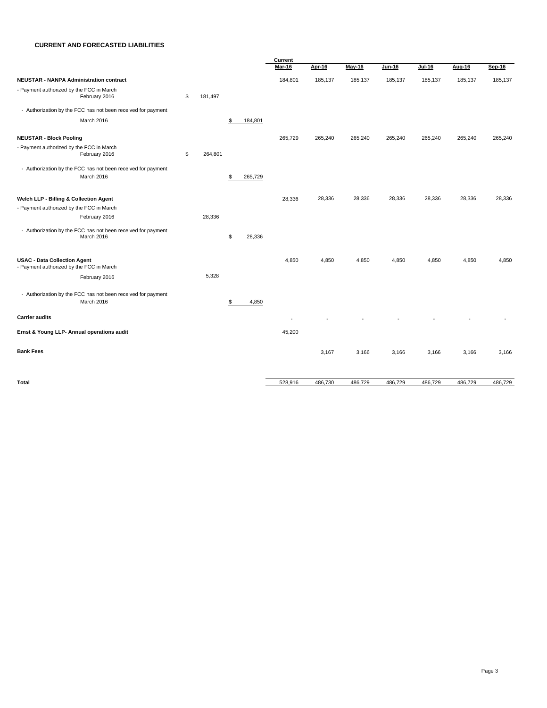#### **CURRENT AND FORECASTED LIABILITIES**

|                                                                                 |               |               | Current |               |               |               |               |         |         |  |  |
|---------------------------------------------------------------------------------|---------------|---------------|---------|---------------|---------------|---------------|---------------|---------|---------|--|--|
|                                                                                 |               |               | Mar-16  | <b>Apr-16</b> | <b>May-16</b> | <b>Jun-16</b> | <b>Jul-16</b> | Aug-16  | Sep-16  |  |  |
| <b>NEUSTAR - NANPA Administration contract</b>                                  |               |               | 184,801 | 185,137       | 185,137       | 185,137       | 185,137       | 185,137 | 185,137 |  |  |
| - Payment authorized by the FCC in March<br>February 2016                       | \$<br>181,497 |               |         |               |               |               |               |         |         |  |  |
| - Authorization by the FCC has not been received for payment                    |               |               |         |               |               |               |               |         |         |  |  |
| March 2016                                                                      |               | \$<br>184,801 |         |               |               |               |               |         |         |  |  |
| <b>NEUSTAR - Block Pooling</b>                                                  |               |               | 265,729 | 265,240       | 265,240       | 265,240       | 265,240       | 265,240 | 265,240 |  |  |
| - Payment authorized by the FCC in March<br>February 2016                       | \$<br>264,801 |               |         |               |               |               |               |         |         |  |  |
| - Authorization by the FCC has not been received for payment<br>March 2016      |               | \$<br>265,729 |         |               |               |               |               |         |         |  |  |
| Welch LLP - Billing & Collection Agent                                          |               |               | 28,336  | 28,336        | 28,336        | 28,336        | 28,336        | 28,336  | 28,336  |  |  |
| - Payment authorized by the FCC in March                                        |               |               |         |               |               |               |               |         |         |  |  |
| February 2016                                                                   | 28,336        |               |         |               |               |               |               |         |         |  |  |
| - Authorization by the FCC has not been received for payment<br>March 2016      |               | \$<br>28,336  |         |               |               |               |               |         |         |  |  |
| <b>USAC - Data Collection Agent</b><br>- Payment authorized by the FCC in March |               |               | 4,850   | 4,850         | 4,850         | 4,850         | 4,850         | 4,850   | 4,850   |  |  |
| February 2016                                                                   | 5,328         |               |         |               |               |               |               |         |         |  |  |
| - Authorization by the FCC has not been received for payment<br>March 2016      |               | \$<br>4,850   |         |               |               |               |               |         |         |  |  |
| <b>Carrier audits</b>                                                           |               |               |         |               |               |               |               |         |         |  |  |
| Ernst & Young LLP- Annual operations audit                                      |               |               | 45,200  |               |               |               |               |         |         |  |  |
| <b>Bank Fees</b>                                                                |               |               |         | 3,167         | 3,166         | 3,166         | 3,166         | 3,166   | 3,166   |  |  |
| <b>Total</b>                                                                    |               |               | 528,916 | 486,730       | 486,729       | 486,729       | 486,729       | 486,729 | 486,729 |  |  |